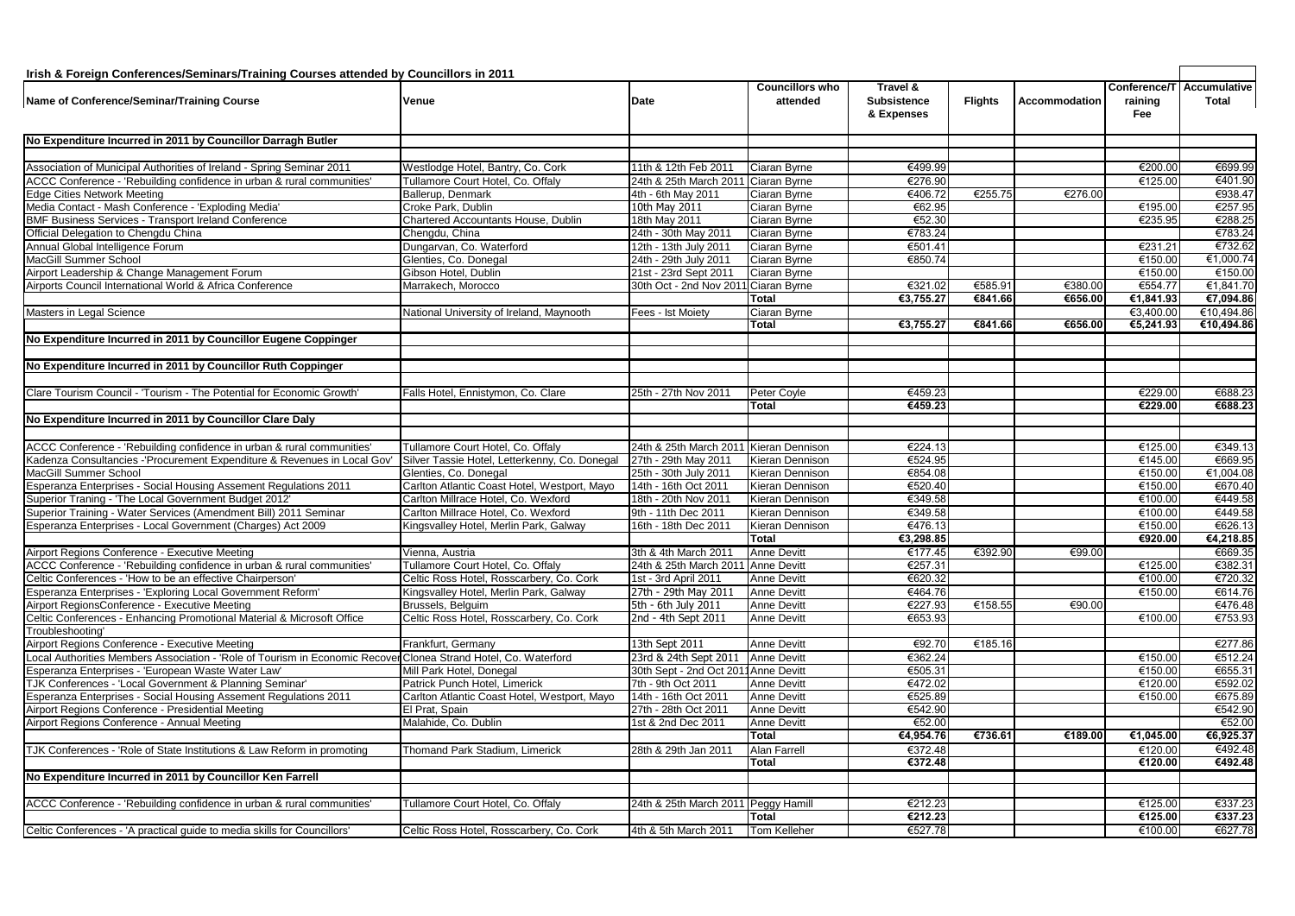## **Irish & Foreign Conferences/Seminars/Training Courses attended by Councillors in 2011**

| irish & Foreign Conferences/Seminars/Training Courses attended by Councillors in 2011                                                           |                                               |                                               |                                    |                                              |                |               |                |                                           |
|-------------------------------------------------------------------------------------------------------------------------------------------------|-----------------------------------------------|-----------------------------------------------|------------------------------------|----------------------------------------------|----------------|---------------|----------------|-------------------------------------------|
| Name of Conference/Seminar/Training Course                                                                                                      | Venue                                         | <b>Date</b>                                   | <b>Councillors who</b><br>attended | Travel &<br><b>Subsistence</b><br>& Expenses | <b>Flights</b> | Accommodation | raining<br>Fee | Conference/T Accumulative<br><b>Total</b> |
| No Expenditure Incurred in 2011 by Councillor Darragh Butler                                                                                    |                                               |                                               |                                    |                                              |                |               |                |                                           |
|                                                                                                                                                 |                                               |                                               |                                    |                                              |                |               |                |                                           |
|                                                                                                                                                 | Westlodge Hotel, Bantry, Co. Cork             | 11th & 12th Feb 2011                          | Ciaran Byrne                       | €499.99                                      |                |               | €200.00        | €699.99                                   |
| Association of Municipal Authorities of Ireland - Spring Seminar 2011<br>ACCC Conference - 'Rebuilding confidence in urban & rural communities' |                                               |                                               |                                    |                                              |                |               |                | €401.90                                   |
|                                                                                                                                                 | Tullamore Court Hotel, Co. Offaly             | 24th & 25th March 2011 Ciaran Byrne           |                                    | €276.90<br>€406.72                           | €255.75        | €276.00       | €125.00        | €938.47                                   |
| <b>Edge Cities Network Meeting</b><br>Media Contact - Mash Conference - 'Exploding Media'                                                       | Ballerup, Denmark<br>Croke Park, Dublin       | 4th - 6th May 2011<br>10th May 2011           | Ciaran Byrne                       | €62.95                                       |                |               | €195.00        | €257.95                                   |
| <b>BMF Business Services - Transport Ireland Conference</b>                                                                                     | Chartered Accountants House, Dublin           | 18th May 2011                                 | Ciaran Byrne<br>Ciaran Byrne       | €52.30                                       |                |               | €235.95        | €288.25                                   |
| Official Delegation to Chengdu China                                                                                                            |                                               |                                               |                                    | €783.24                                      |                |               |                | €783.24                                   |
| Annual Global Intelligence Forum                                                                                                                | Chengdu, China<br>Dungarvan, Co. Waterford    | 24th - 30th May 2011<br>12th - 13th July 2011 | Ciaran Byrne<br>Ciaran Byrne       | €501.41                                      |                |               | €231.21        | €732.62                                   |
| MacGill Summer School                                                                                                                           |                                               |                                               |                                    | €850.74                                      |                |               | €150.00        | €1,000.74                                 |
|                                                                                                                                                 | Glenties, Co. Donegal                         | 24th - 29th July 2011                         | Ciaran Byrne                       |                                              |                |               |                | €150.00                                   |
| Airport Leadership & Change Management Forum                                                                                                    | Gibson Hotel, Dublin                          | 21st - 23rd Sept 2011                         | Ciaran Byrne                       |                                              | €585.91        | €380.00       | €150.00        |                                           |
| Airports Council International World & Africa Conference                                                                                        | Marrakech, Morocco                            | 30th Oct - 2nd Nov 2011 Ciaran Byrne          |                                    | €321.02                                      |                |               | €554.77        | €1,841.70                                 |
|                                                                                                                                                 |                                               |                                               | Total                              | €3,755.27                                    | €841.66        | €656.00       | €1,841.93      | €7,094.86                                 |
| Masters in Legal Science                                                                                                                        | National University of Ireland, Maynooth      | Fees - Ist Moiety                             | Ciaran Byrne                       |                                              |                |               | €3,400.00      | €10,494.86                                |
|                                                                                                                                                 |                                               |                                               | <b>Total</b>                       | €3,755.27                                    | €841.66        | €656.00       | €5,241.93      | €10,494.86                                |
| No Expenditure Incurred in 2011 by Councillor Eugene Coppinger                                                                                  |                                               |                                               |                                    |                                              |                |               |                |                                           |
| No Expenditure Incurred in 2011 by Councillor Ruth Coppinger                                                                                    |                                               |                                               |                                    |                                              |                |               |                |                                           |
|                                                                                                                                                 |                                               |                                               |                                    |                                              |                |               |                |                                           |
| Clare Tourism Council - 'Tourism - The Potential for Economic Growth'                                                                           | Falls Hotel, Ennistymon, Co. Clare            | 25th - 27th Nov 2011                          | Peter Coyle                        | €459.23                                      |                |               | €229.00        | €688.23                                   |
|                                                                                                                                                 |                                               |                                               | <b>Total</b>                       | €459.23                                      |                |               | €229.00        | €688.23                                   |
| No Expenditure Incurred in 2011 by Councillor Clare Daly                                                                                        |                                               |                                               |                                    |                                              |                |               |                |                                           |
|                                                                                                                                                 |                                               |                                               |                                    |                                              |                |               |                |                                           |
| ACCC Conference - 'Rebuilding confidence in urban & rural communities'                                                                          | Tullamore Court Hotel, Co. Offaly             | 24th & 25th March 2011 Kieran Dennison        |                                    | €224.13                                      |                |               | €125.00        | €349.13                                   |
| Kadenza Consultancies -'Procurement Expenditure & Revenues in Local Gov'                                                                        | Silver Tassie Hotel, Letterkenny, Co. Donegal | 27th - 29th May 2011                          | Kieran Dennison                    | €524.95                                      |                |               | €145.00        | €669.95                                   |
| MacGill Summer School                                                                                                                           | Glenties, Co. Donegal                         | 25th - 30th July 2011                         | Kieran Dennison                    | €854.08                                      |                |               | €150.00        | €1,004.08                                 |
| Esperanza Enterprises - Social Housing Assement Regulations 2011                                                                                | Carlton Atlantic Coast Hotel, Westport, Mayo  | 14th - 16th Oct 2011                          | Kieran Dennison                    | €520.40                                      |                |               | €150.00        | €670.40                                   |
| Superior Traning - 'The Local Government Budget 2012'                                                                                           | Carlton Millrace Hotel, Co. Wexford           | 18th - 20th Nov 2011                          | Kieran Dennison                    | €349.58                                      |                |               | €100.00        | €449.58                                   |
| uperior Training - Water Services (Amendment Bill) 2011 Seminar                                                                                 | Carlton Millrace Hotel, Co. Wexford           | 9th - 11th Dec 2011                           | Kieran Dennison                    | €349.58                                      |                |               | €100.00        | €449.58                                   |
| Esperanza Enterprises - Local Government (Charges) Act 2009                                                                                     | Kingsvalley Hotel, Merlin Park, Galway        | 16th - 18th Dec 2011                          | Kieran Dennison                    | €476.13                                      |                |               | €150.00        | €626.13                                   |
|                                                                                                                                                 |                                               |                                               | <b>Total</b>                       | €3,298.85                                    |                |               | €920.00        | €4,218.85                                 |
| Airport Regions Conference - Executive Meeting                                                                                                  | Vienna, Austria                               | 3th & 4th March 2011                          | <b>Anne Devitt</b>                 | €177.45                                      | €392.90        | €99.00        |                | €669.35                                   |
| ACCC Conference - 'Rebuilding confidence in urban & rural communities'                                                                          | Tullamore Court Hotel, Co. Offaly             | 24th & 25th March 2011 Anne Devitt            |                                    | €257.31                                      |                |               | €125.00        | €382.31                                   |
| Celtic Conferences - 'How to be an effective Chairperson'                                                                                       | Celtic Ross Hotel, Rosscarbery, Co. Cork      | 1st - 3rd April 2011                          | Anne Devitt                        | €620.32                                      |                |               | €100.00        | €720.32                                   |
| Esperanza Enterprises - 'Exploring Local Government Reform'                                                                                     | Kingsvalley Hotel, Merlin Park, Galway        | 27th - 29th May 2011                          | <b>Anne Devitt</b>                 | €464.76                                      |                |               | €150.00        | €614.76                                   |
| Airport RegionsConference - Executive Meeting                                                                                                   | Brussels, Belguim                             | 5th - 6th July 2011                           | Anne Devitt                        | €227.93                                      | €158.55        | €90.00        |                | €476.48                                   |
| Celtic Conferences - Enhancing Promotional Material & Microsoft Office                                                                          | Celtic Ross Hotel, Rosscarbery, Co. Cork      | 2nd - 4th Sept 2011                           | <b>Anne Devitt</b>                 | €653.93                                      |                |               | €100.00        | €753.93                                   |
| roubleshooting'                                                                                                                                 |                                               |                                               |                                    |                                              |                |               |                |                                           |
| Airport Regions Conference - Executive Meeting                                                                                                  | Frankfurt, Germany                            | 13th Sept 2011                                | <b>Anne Devitt</b>                 | €92.70                                       | €185.16        |               |                | €277.86                                   |
| ocal Authorities Members Association - 'Role of Tourism in Economic Recover Clonea Strand Hotel, Co. Waterford                                  |                                               | 23rd & 24th Sept 2011 Anne Devitt             |                                    | €362.24                                      |                |               | €150.00        | €512.24                                   |
| Speranza Enterprises - 'European Waste Water Law'                                                                                               | Mill Park Hotel, Donegal                      | 30th Sept - 2nd Oct 2011 Anne Devitt          |                                    | €505.31                                      |                |               | €150.00        | €655.31                                   |
| TJK Conferences - 'Local Government & Planning Seminar'                                                                                         | Patrick Punch Hotel, Limerick                 | 7th - 9th Oct 2011                            | Anne Devitt                        | €472.02                                      |                |               | €120.00        | €592.02                                   |
| speranza Enterprises - Social Housing Assement Regulations 2011                                                                                 | Carlton Atlantic Coast Hotel, Westport, Mayo  | 14th - 16th Oct 2011                          | Anne Devitt                        | €525.89                                      |                |               | €150.00        | €675.89                                   |
| Airport Regions Conference - Presidential Meeting                                                                                               | El Prat, Spain                                | 27th - 28th Oct 2011                          | <b>Anne Devitt</b>                 | €542.90                                      |                |               |                | €542.90                                   |
| Airport Regions Conference - Annual Meeting                                                                                                     | Malahide, Co. Dublin                          | 1st & 2nd Dec 2011                            | Anne Devitt                        | €52.00                                       |                |               |                | €52.00                                    |
|                                                                                                                                                 |                                               |                                               | Total                              | €4,954.76                                    | €736.61        | €189.00       | €1,045.00      | €6,925.37                                 |
| TJK Conferences - 'Role of State Institutions & Law Reform in promoting                                                                         | Thomand Park Stadium, Limerick                | 28th & 29th Jan 2011                          | Alan Farrell                       | €372.48                                      |                |               | €120.00        | €492.48                                   |
|                                                                                                                                                 |                                               |                                               | <b>Total</b>                       | €372.48                                      |                |               | €120.00        | €492.48                                   |
| No Expenditure Incurred in 2011 by Councillor Ken Farrell                                                                                       |                                               |                                               |                                    |                                              |                |               |                |                                           |
|                                                                                                                                                 |                                               |                                               |                                    |                                              |                |               |                |                                           |
|                                                                                                                                                 |                                               |                                               |                                    |                                              |                |               |                |                                           |
| ACCC Conference - 'Rebuilding confidence in urban & rural communities'                                                                          | Tullamore Court Hotel, Co. Offaly             | 24th & 25th March 2011 Peggy Hamill           |                                    | €212.23                                      |                |               | €125.00        | €337.23                                   |
|                                                                                                                                                 |                                               |                                               | <b>Total</b>                       | €212.23                                      |                |               | €125.00        | €337.23                                   |
| Celtic Conferences - 'A practical guide to media skills for Councillors'                                                                        | Celtic Ross Hotel, Rosscarbery, Co. Cork      | 4th & 5th March 2011                          | Tom Kelleher                       | €527.78                                      |                |               | €100.00        | €627.78                                   |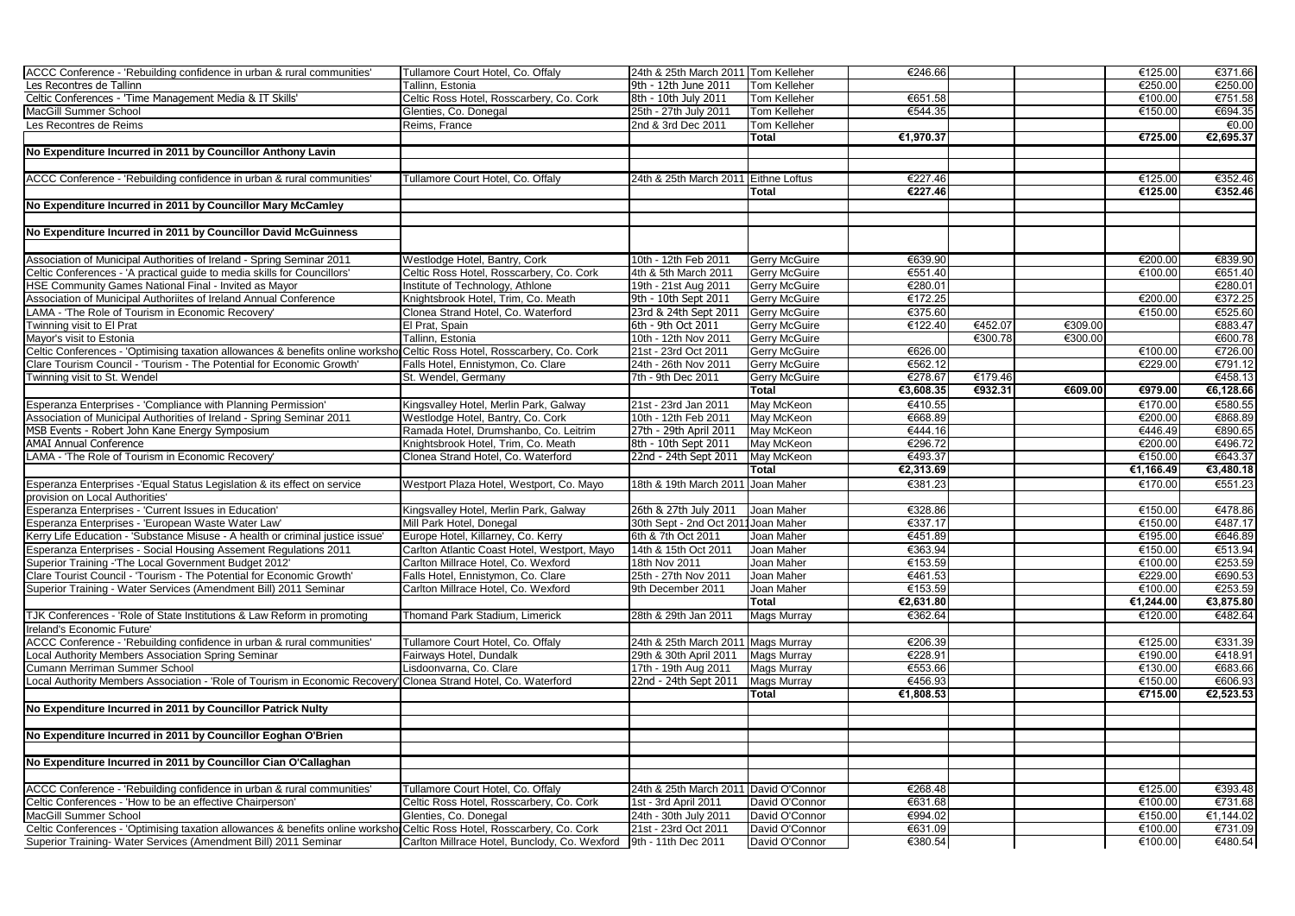| ACCC Conference - 'Rebuilding confidence in urban & rural communities'                                                   | Tullamore Court Hotel, Co. Offaly                                              | 24th & 25th March 2011 Tom Kelleher   |                      | €246.66   |         |         | €125.00   | €371.66   |
|--------------------------------------------------------------------------------------------------------------------------|--------------------------------------------------------------------------------|---------------------------------------|----------------------|-----------|---------|---------|-----------|-----------|
| Les Recontres de Tallinn                                                                                                 | Tallinn, Estonia                                                               | 9th - 12th June 2011                  | <b>Tom Kelleher</b>  |           |         |         | €250.00   | €250.00   |
| Celtic Conferences - 'Time Management Media & IT Skills'                                                                 | Celtic Ross Hotel, Rosscarbery, Co. Cork                                       | 8th - 10th July 2011                  | Tom Kelleher         | €651.58   |         |         | €100.00   | €751.58   |
| MacGill Summer School                                                                                                    | Glenties, Co. Donegal                                                          | 25th - 27th July 2011                 | Tom Kelleher         | €544.35   |         |         | €150.00   | €694.35   |
| Les Recontres de Reims                                                                                                   | Reims, France                                                                  | 2nd & 3rd Dec 2011                    | <b>Tom Kelleher</b>  |           |         |         |           | €0.00     |
|                                                                                                                          |                                                                                |                                       | <b>Total</b>         | €1,970.37 |         |         | €725.00   | €2,695.37 |
| No Expenditure Incurred in 2011 by Councillor Anthony Lavin                                                              |                                                                                |                                       |                      |           |         |         |           |           |
|                                                                                                                          |                                                                                |                                       |                      |           |         |         |           |           |
| ACCC Conference - 'Rebuilding confidence in urban & rural communities'                                                   | Tullamore Court Hotel, Co. Offaly                                              | 24th & 25th March 2011 Eithne Loftus  |                      | €227.46   |         |         | €125.00   | €352.46   |
|                                                                                                                          |                                                                                |                                       | Total                | €227.46   |         |         | €125.00   | €352.46   |
| No Expenditure Incurred in 2011 by Councillor Mary McCamley                                                              |                                                                                |                                       |                      |           |         |         |           |           |
|                                                                                                                          |                                                                                |                                       |                      |           |         |         |           |           |
| No Expenditure Incurred in 2011 by Councillor David McGuinness                                                           |                                                                                |                                       |                      |           |         |         |           |           |
|                                                                                                                          |                                                                                |                                       |                      |           |         |         |           |           |
| Association of Municipal Authorities of Ireland - Spring Seminar 2011                                                    | Westlodge Hotel, Bantry, Cork                                                  | 10th - 12th Feb 2011                  | <b>Gerry McGuire</b> | €639.90   |         |         | €200.00   | €839.90   |
| Celtic Conferences - 'A practical quide to media skills for Councillors'                                                 | Celtic Ross Hotel, Rosscarbery, Co. Cork                                       | 4th & 5th March 2011                  | <b>Gerry McGuire</b> | €551.40   |         |         | €100.00   | €651.40   |
| HSE Community Games National Final - Invited as Mayor                                                                    | Institute of Technology, Athlone                                               | 19th - 21st Aug 2011                  | Gerry McGuire        | €280.01   |         |         |           | €280.01   |
| Association of Municipal Authoriites of Ireland Annual Conference                                                        | Knightsbrook Hotel, Trim, Co. Meath                                            | 9th - 10th Sept 2011                  | <b>Gerry McGuire</b> | €172.25   |         |         | €200.00   | 6372.25   |
| LAMA - 'The Role of Tourism in Economic Recovery'                                                                        | Clonea Strand Hotel, Co. Waterford                                             | 23rd & 24th Sept 2011                 | <b>Gerry McGuire</b> | €375.60   |         |         | €150.00   | €525.60   |
| Twinning visit to El Prat                                                                                                | El Prat, Spain                                                                 | 6th - 9th Oct 2011                    | Gerry McGuire        | €122.40   | €452.07 | €309.00 |           | €883.47   |
| Mayor's visit to Estonia                                                                                                 | Tallinn, Estonia                                                               | 10th - 12th Nov 2011                  | <b>Gerry McGuire</b> |           | €300.78 | €300.00 |           | €600.78   |
| Celtic Conferences - 'Optimising taxation allowances & benefits online workshop                                          |                                                                                | 21st - 23rd Oct 2011                  | Gerry McGuire        | €626.00   |         |         | €100.00   | €726.00   |
|                                                                                                                          | Celtic Ross Hotel, Rosscarbery, Co. Cork<br>Falls Hotel, Ennistymon, Co. Clare |                                       |                      | €562.12   |         |         | €229.00   |           |
| Clare Tourism Council - 'Tourism - The Potential for Economic Growth'                                                    |                                                                                | 24th - 26th Nov 2011                  | <b>Gerry McGuire</b> |           |         |         |           | €791.12   |
| Twinning visit to St. Wendel                                                                                             | St. Wendel, Germany                                                            | 7th - 9th Dec 2011                    | Gerry McGuire        | €278.67   | €179.46 |         |           | €458.13   |
|                                                                                                                          |                                                                                |                                       | <b>Total</b>         | €3,608.35 | €932.31 | €609.00 | €979.00   | €6,128.66 |
| Esperanza Enterprises - 'Compliance with Planning Permission'                                                            | Kingsvalley Hotel, Merlin Park, Galway                                         | 21st - 23rd Jan 2011                  | May McKeon           | €410.55   |         |         | €170.00   | €580.55   |
| Association of Municipal Authorities of Ireland - Spring Seminar 2011                                                    | Westlodge Hotel, Bantry, Co. Cork                                              | 10th - 12th Feb 2011                  | May McKeon           | €668.89   |         |         | €200.00   | €868.89   |
| MSB Events - Robert John Kane Energy Symposium                                                                           | Ramada Hotel, Drumshanbo, Co. Leitrim                                          | 27th - 29th April 2011                | May McKeon           | €444.16   |         |         | €446.49   | €890.65   |
| <b>AMAI Annual Conference</b>                                                                                            | Knightsbrook Hotel, Trim, Co. Meath                                            | 8th - 10th Sept 2011                  | May McKeon           | €296.72   |         |         | €200.00   | €496.72   |
| AMA - 'The Role of Tourism in Economic Recovery'                                                                         | Clonea Strand Hotel, Co. Waterford                                             | 22nd - 24th Sept 2011 May McKeon      |                      | €493.37   |         |         | €150.00   | €643.37   |
|                                                                                                                          |                                                                                |                                       | Total                | €2,313.69 |         |         | €1,166.49 | €3,480.18 |
| Esperanza Enterprises -'Equal Status Legislation & its effect on service                                                 | Westport Plaza Hotel, Westport, Co. Mayo                                       | 18th & 19th March 2011 Joan Maher     |                      | €381.23   |         |         | €170.00   | €551.23   |
| provision on Local Authorities'                                                                                          |                                                                                |                                       |                      |           |         |         |           |           |
| Esperanza Enterprises - 'Current Issues in Education'                                                                    | Kingsvalley Hotel, Merlin Park, Galway                                         | 26th & 27th July 2011                 | Joan Maher           | €328.86   |         |         | €150.00   | €478.86   |
| Esperanza Enterprises - 'European Waste Water Law'                                                                       | Mill Park Hotel, Donegal                                                       | 30th Sept - 2nd Oct 2011 Joan Maher   |                      | €337.17   |         |         | €150.00   | €487.17   |
| Kerry Life Education - 'Substance Misuse - A health or criminal justice issue'                                           | Europe Hotel, Killarney, Co. Kerry                                             | 6th & 7th Oct 2011                    | Joan Maher           | €451.89   |         |         | €195.00   | €646.89   |
| Esperanza Enterprises - Social Housing Assement Regulations 2011                                                         | Carlton Atlantic Coast Hotel, Westport, Mayo                                   | 14th & 15th Oct 2011                  | Joan Maher           | €363.94   |         |         | €150.00   | €513.94   |
| Superior Training -'The Local Government Budget 2012'                                                                    | Carlton Millrace Hotel, Co. Wexford                                            | 18th Nov 2011                         | Joan Maher           | €153.59   |         |         | €100.00   | €253.59   |
| Clare Tourist Council - 'Tourism - The Potential for Economic Growth'                                                    | Falls Hotel, Ennistymon, Co. Clare                                             | 25th - 27th Nov 2011                  | Joan Maher           | €461.53   |         |         | €229.00   | €690.53   |
| Superior Training - Water Services (Amendment Bill) 2011 Seminar                                                         | Carlton Millrace Hotel, Co. Wexford                                            | 9th December 2011                     | Joan Maher           | €153.59   |         |         | €100.00   | €253.59   |
|                                                                                                                          |                                                                                |                                       | Total                | €2,631.80 |         |         | €1,244.00 | €3,875.80 |
| TJK Conferences - 'Role of State Institutions & Law Reform in promoting                                                  | Thomand Park Stadium, Limerick                                                 | 28th & 29th Jan 2011                  | <b>Mags Murray</b>   | €362.64   |         |         | €120.00   | €482.64   |
| Ireland's Economic Future'                                                                                               |                                                                                |                                       |                      |           |         |         |           |           |
| ACCC Conference - 'Rebuilding confidence in urban & rural communities'                                                   | Tullamore Court Hotel, Co. Offaly                                              | 24th & 25th March 2011 Mags Murray    |                      | €206.39   |         |         | €125.00   | €331.39   |
| Local Authority Members Association Spring Seminar                                                                       | Fairways Hotel, Dundalk                                                        | 29th & 30th April 2011 Mags Murray    |                      | €228.91   |         |         | €190.00   | €418.91   |
| Cumann Merriman Summer School                                                                                            | Lisdoonvarna, Co. Clare                                                        | 17th - 19th Aug 2011                  | <b>Mags Murray</b>   | €553.66   |         |         | €130.00   | €683.66   |
| Local Authority Members Association - 'Role of Tourism in Economic Recovery' Clonea Strand Hotel, Co. Waterford          |                                                                                | 22nd - 24th Sept 2011                 | <b>Mags Murray</b>   | €456.93   |         |         | €150.00   | €606.93   |
|                                                                                                                          |                                                                                |                                       | Total                | €1,808.53 |         |         | €715.00   | €2,523.53 |
| No Expenditure Incurred in 2011 by Councillor Patrick Nulty                                                              |                                                                                |                                       |                      |           |         |         |           |           |
|                                                                                                                          |                                                                                |                                       |                      |           |         |         |           |           |
| No Expenditure Incurred in 2011 by Councillor Eoghan O'Brien                                                             |                                                                                |                                       |                      |           |         |         |           |           |
|                                                                                                                          |                                                                                |                                       |                      |           |         |         |           |           |
| No Expenditure Incurred in 2011 by Councillor Cian O'Callaghan                                                           |                                                                                |                                       |                      |           |         |         |           |           |
|                                                                                                                          |                                                                                |                                       |                      |           |         |         |           |           |
| ACCC Conference - 'Rebuilding confidence in urban & rural communities'                                                   | Tullamore Court Hotel, Co. Offaly                                              | 24th & 25th March 2011 David O'Connor |                      | €268.48   |         |         | €125.00   | €393.48   |
| Celtic Conferences - 'How to be an effective Chairperson'                                                                | Celtic Ross Hotel, Rosscarbery, Co. Cork                                       | 1st - 3rd April 2011                  | David O'Connor       | €631.68   |         |         | €100.00   | €731.68   |
| MacGill Summer School                                                                                                    |                                                                                |                                       | David O'Connor       | €994.02   |         |         | €150.00   | €1,144.02 |
|                                                                                                                          | Glenties, Co. Donegal                                                          | 24th - 30th July 2011                 |                      |           |         |         |           |           |
| Celtic Conferences - 'Optimising taxation allowances & benefits online workshor Celtic Ross Hotel, Rosscarbery, Co. Cork |                                                                                | 21st - 23rd Oct 2011                  | David O'Connor       | €631.09   |         |         | €100.00   | €731.09   |
| Superior Training- Water Services (Amendment Bill) 2011 Seminar                                                          | Carlton Millrace Hotel, Bunclody, Co. Wexford 9th - 11th Dec 2011              |                                       | David O'Connor       | €380.54   |         |         | €100.00   | €480.54   |